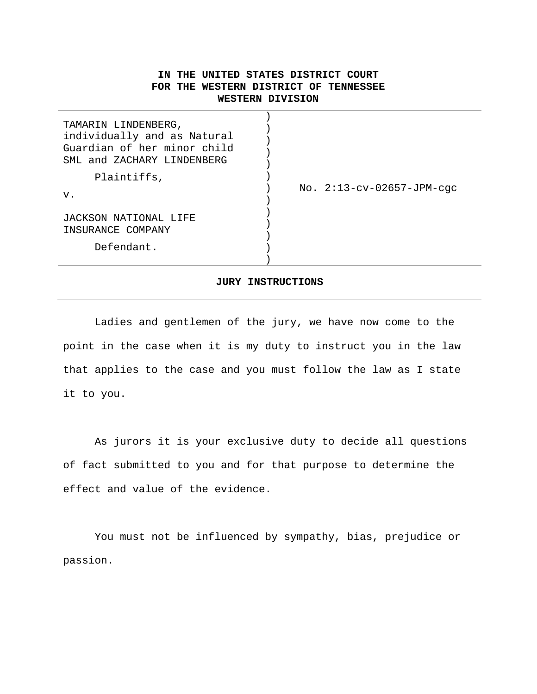# **IN THE UNITED STATES DISTRICT COURT FOR THE WESTERN DISTRICT OF TENNESSEE WESTERN DIVISION**

| TAMARIN LINDENBERG,<br>individually and as Natural<br>Guardian of her minor child<br>SML and ZACHARY LINDENBERG |                             |
|-----------------------------------------------------------------------------------------------------------------|-----------------------------|
| Plaintiffs,<br>v.                                                                                               | No. $2:13-cv-02657-JPM-cgc$ |
| JACKSON NATIONAL LIFE<br>INSURANCE COMPANY                                                                      |                             |
| Defendant.                                                                                                      |                             |
|                                                                                                                 |                             |

#### **JURY INSTRUCTIONS**

Ladies and gentlemen of the jury, we have now come to the point in the case when it is my duty to instruct you in the law that applies to the case and you must follow the law as I state it to you.

 As jurors it is your exclusive duty to decide all questions of fact submitted to you and for that purpose to determine the effect and value of the evidence.

 You must not be influenced by sympathy, bias, prejudice or passion.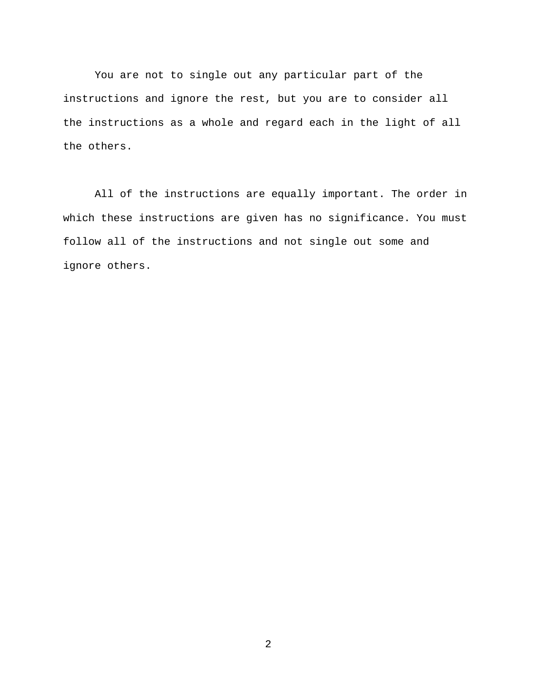You are not to single out any particular part of the instructions and ignore the rest, but you are to consider all the instructions as a whole and regard each in the light of all the others.

All of the instructions are equally important. The order in which these instructions are given has no significance. You must follow all of the instructions and not single out some and ignore others.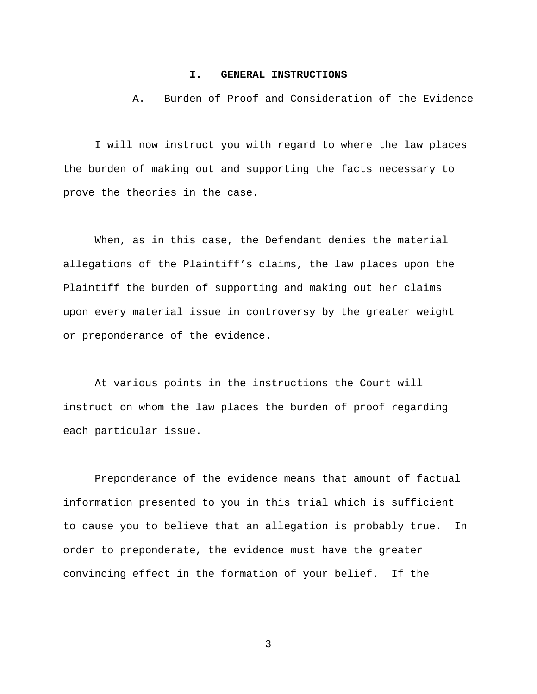#### **I. GENERAL INSTRUCTIONS**

## A. Burden of Proof and Consideration of the Evidence

 I will now instruct you with regard to where the law places the burden of making out and supporting the facts necessary to prove the theories in the case.

 When, as in this case, the Defendant denies the material allegations of the Plaintiff's claims, the law places upon the Plaintiff the burden of supporting and making out her claims upon every material issue in controversy by the greater weight or preponderance of the evidence.

 At various points in the instructions the Court will instruct on whom the law places the burden of proof regarding each particular issue.

 Preponderance of the evidence means that amount of factual information presented to you in this trial which is sufficient to cause you to believe that an allegation is probably true. In order to preponderate, the evidence must have the greater convincing effect in the formation of your belief. If the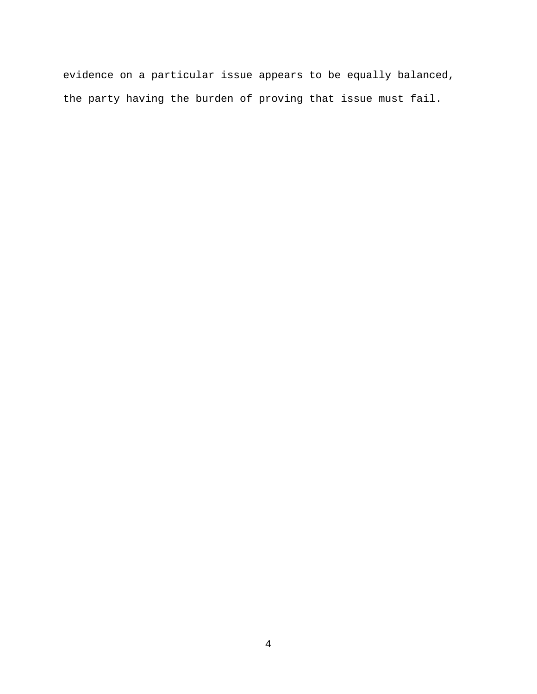evidence on a particular issue appears to be equally balanced, the party having the burden of proving that issue must fail.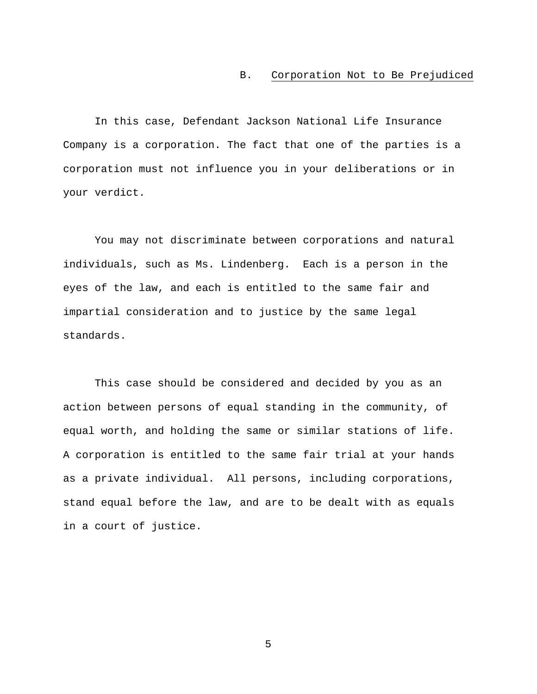### B. Corporation Not to Be Prejudiced

 In this case, Defendant Jackson National Life Insurance Company is a corporation. The fact that one of the parties is a corporation must not influence you in your deliberations or in your verdict.

You may not discriminate between corporations and natural individuals, such as Ms. Lindenberg. Each is a person in the eyes of the law, and each is entitled to the same fair and impartial consideration and to justice by the same legal standards.

This case should be considered and decided by you as an action between persons of equal standing in the community, of equal worth, and holding the same or similar stations of life. A corporation is entitled to the same fair trial at your hands as a private individual. All persons, including corporations, stand equal before the law, and are to be dealt with as equals in a court of justice.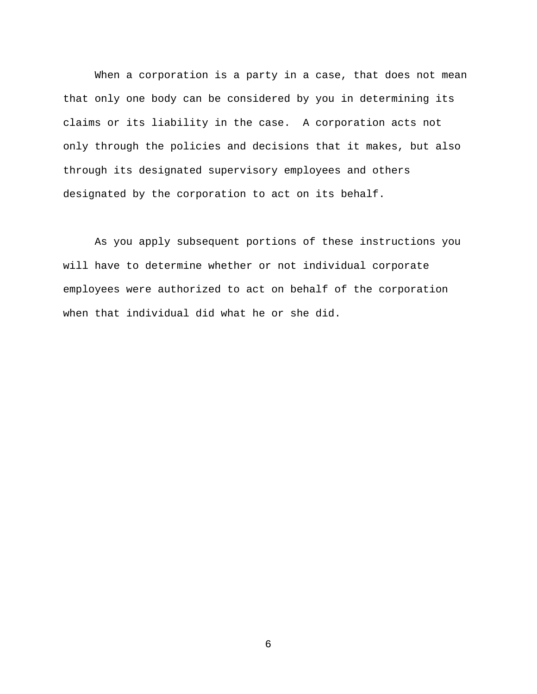When a corporation is a party in a case, that does not mean that only one body can be considered by you in determining its claims or its liability in the case. A corporation acts not only through the policies and decisions that it makes, but also through its designated supervisory employees and others designated by the corporation to act on its behalf.

As you apply subsequent portions of these instructions you will have to determine whether or not individual corporate employees were authorized to act on behalf of the corporation when that individual did what he or she did.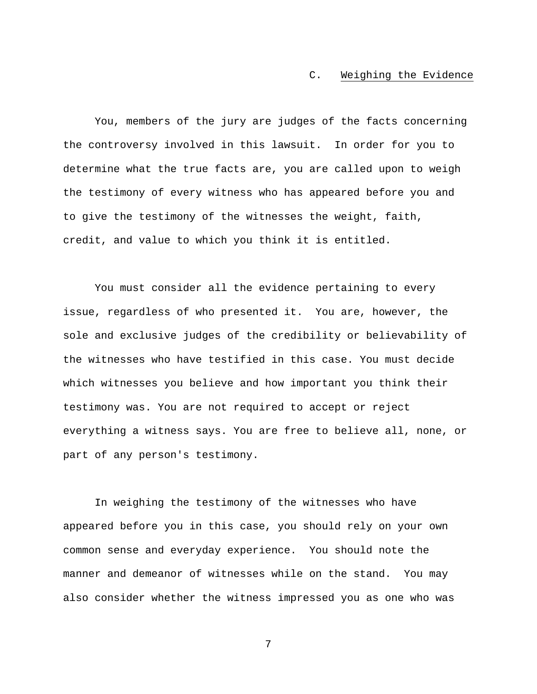### C. Weighing the Evidence

 You, members of the jury are judges of the facts concerning the controversy involved in this lawsuit. In order for you to determine what the true facts are, you are called upon to weigh the testimony of every witness who has appeared before you and to give the testimony of the witnesses the weight, faith, credit, and value to which you think it is entitled.

You must consider all the evidence pertaining to every issue, regardless of who presented it. You are, however, the sole and exclusive judges of the credibility or believability of the witnesses who have testified in this case. You must decide which witnesses you believe and how important you think their testimony was. You are not required to accept or reject everything a witness says. You are free to believe all, none, or part of any person's testimony.

In weighing the testimony of the witnesses who have appeared before you in this case, you should rely on your own common sense and everyday experience. You should note the manner and demeanor of witnesses while on the stand. You may also consider whether the witness impressed you as one who was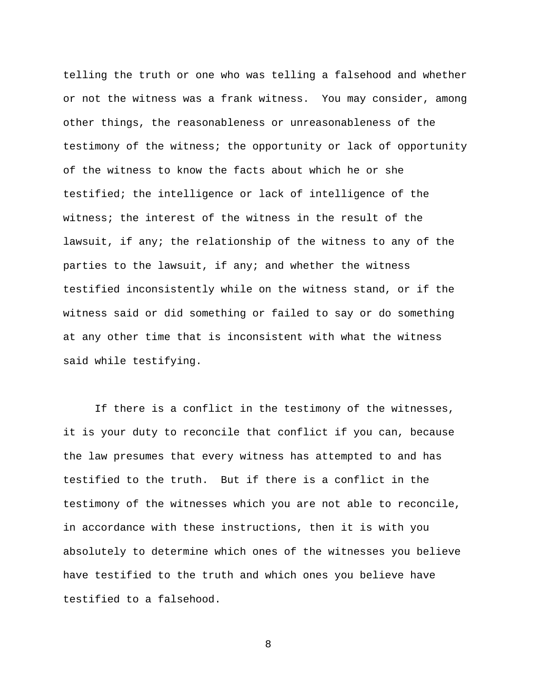telling the truth or one who was telling a falsehood and whether or not the witness was a frank witness. You may consider, among other things, the reasonableness or unreasonableness of the testimony of the witness; the opportunity or lack of opportunity of the witness to know the facts about which he or she testified; the intelligence or lack of intelligence of the witness; the interest of the witness in the result of the lawsuit, if any; the relationship of the witness to any of the parties to the lawsuit, if any; and whether the witness testified inconsistently while on the witness stand, or if the witness said or did something or failed to say or do something at any other time that is inconsistent with what the witness said while testifying.

 If there is a conflict in the testimony of the witnesses, it is your duty to reconcile that conflict if you can, because the law presumes that every witness has attempted to and has testified to the truth. But if there is a conflict in the testimony of the witnesses which you are not able to reconcile, in accordance with these instructions, then it is with you absolutely to determine which ones of the witnesses you believe have testified to the truth and which ones you believe have testified to a falsehood.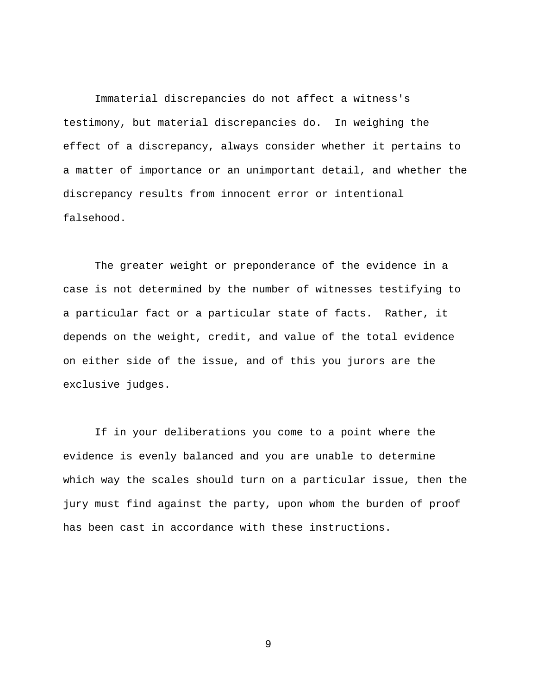Immaterial discrepancies do not affect a witness's testimony, but material discrepancies do. In weighing the effect of a discrepancy, always consider whether it pertains to a matter of importance or an unimportant detail, and whether the discrepancy results from innocent error or intentional falsehood.

 The greater weight or preponderance of the evidence in a case is not determined by the number of witnesses testifying to a particular fact or a particular state of facts. Rather, it depends on the weight, credit, and value of the total evidence on either side of the issue, and of this you jurors are the exclusive judges.

 If in your deliberations you come to a point where the evidence is evenly balanced and you are unable to determine which way the scales should turn on a particular issue, then the jury must find against the party, upon whom the burden of proof has been cast in accordance with these instructions.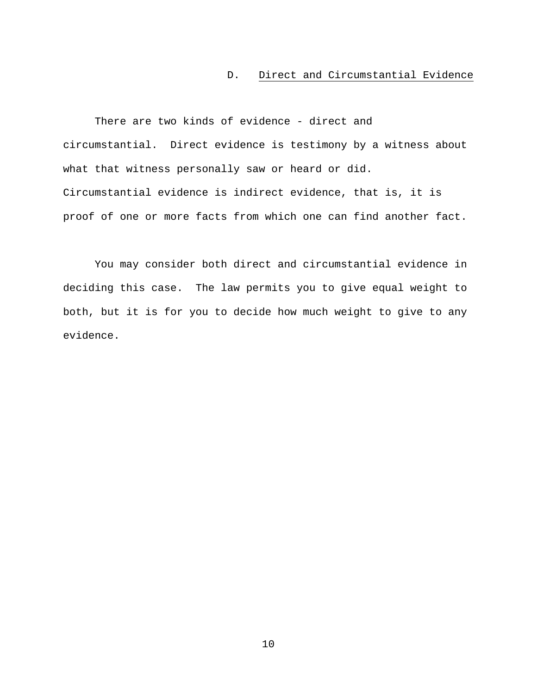## D. Direct and Circumstantial Evidence

There are two kinds of evidence - direct and circumstantial. Direct evidence is testimony by a witness about what that witness personally saw or heard or did. Circumstantial evidence is indirect evidence, that is, it is proof of one or more facts from which one can find another fact.

 You may consider both direct and circumstantial evidence in deciding this case. The law permits you to give equal weight to both, but it is for you to decide how much weight to give to any evidence.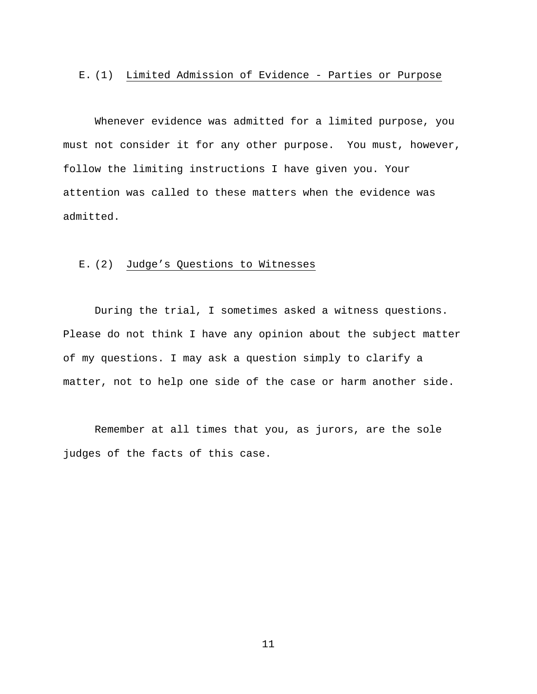### E. (1) Limited Admission of Evidence - Parties or Purpose

 Whenever evidence was admitted for a limited purpose, you must not consider it for any other purpose. You must, however, follow the limiting instructions I have given you. Your attention was called to these matters when the evidence was admitted.

### E. (2) Judge's Questions to Witnesses

 During the trial, I sometimes asked a witness questions. Please do not think I have any opinion about the subject matter of my questions. I may ask a question simply to clarify a matter, not to help one side of the case or harm another side.

Remember at all times that you, as jurors, are the sole judges of the facts of this case.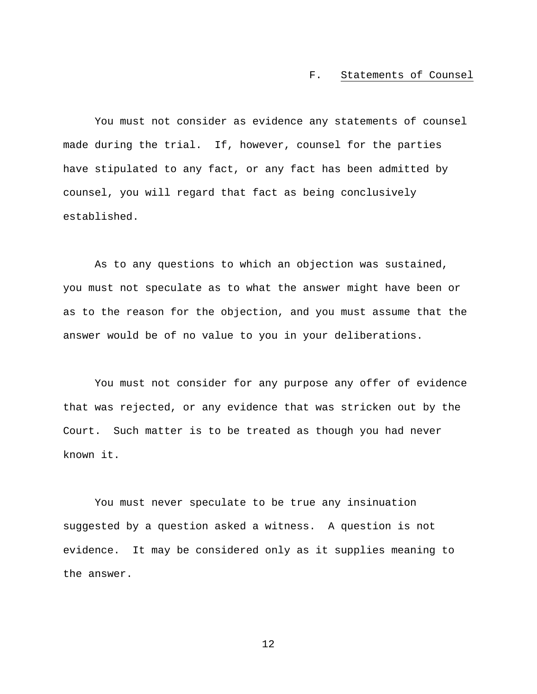#### F. Statements of Counsel

 You must not consider as evidence any statements of counsel made during the trial. If, however, counsel for the parties have stipulated to any fact, or any fact has been admitted by counsel, you will regard that fact as being conclusively established.

 As to any questions to which an objection was sustained, you must not speculate as to what the answer might have been or as to the reason for the objection, and you must assume that the answer would be of no value to you in your deliberations.

 You must not consider for any purpose any offer of evidence that was rejected, or any evidence that was stricken out by the Court. Such matter is to be treated as though you had never known it.

 You must never speculate to be true any insinuation suggested by a question asked a witness. A question is not evidence. It may be considered only as it supplies meaning to the answer.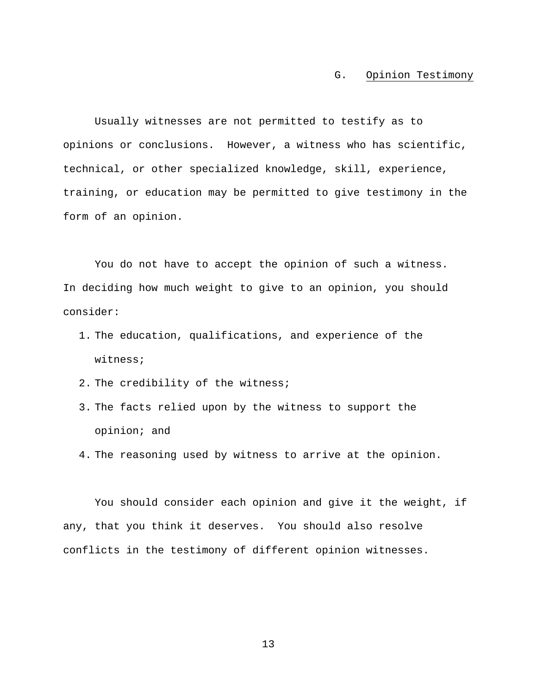## G. Opinion Testimony

 Usually witnesses are not permitted to testify as to opinions or conclusions. However, a witness who has scientific, technical, or other specialized knowledge, skill, experience, training, or education may be permitted to give testimony in the form of an opinion.

You do not have to accept the opinion of such a witness. In deciding how much weight to give to an opinion, you should consider:

- 1. The education, qualifications, and experience of the witness;
- 2. The credibility of the witness;
- 3. The facts relied upon by the witness to support the opinion; and
- 4. The reasoning used by witness to arrive at the opinion.

You should consider each opinion and give it the weight, if any, that you think it deserves. You should also resolve conflicts in the testimony of different opinion witnesses.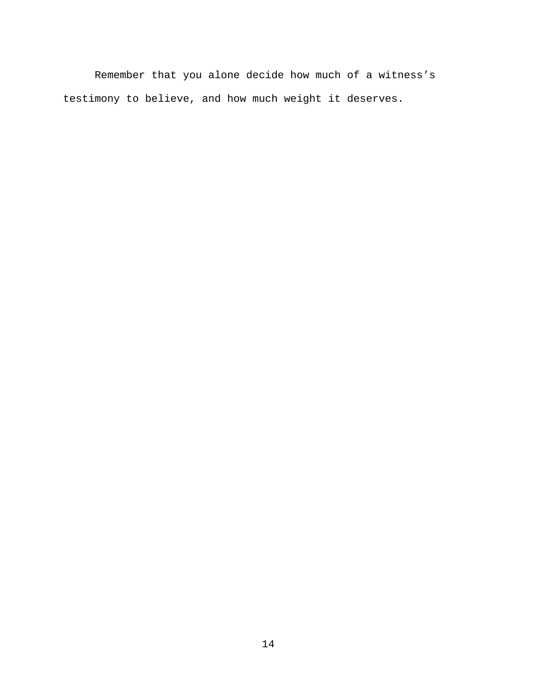Remember that you alone decide how much of a witness's testimony to believe, and how much weight it deserves.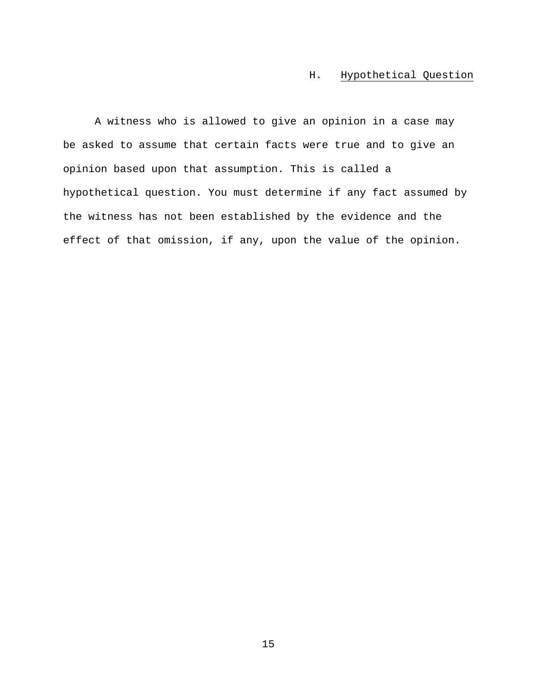# H. Hypothetical Question

 A witness who is allowed to give an opinion in a case may be asked to assume that certain facts were true and to give an opinion based upon that assumption. This is called a hypothetical question. You must determine if any fact assumed by the witness has not been established by the evidence and the effect of that omission, if any, upon the value of the opinion.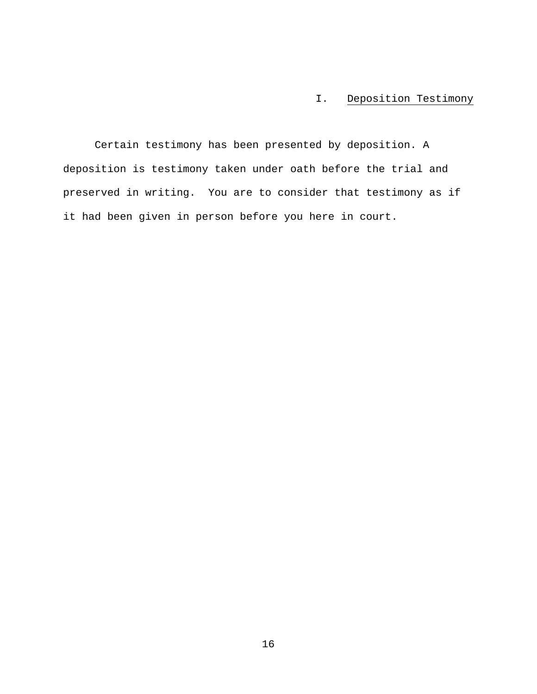# I. Deposition Testimony

 Certain testimony has been presented by deposition. A deposition is testimony taken under oath before the trial and preserved in writing. You are to consider that testimony as if it had been given in person before you here in court.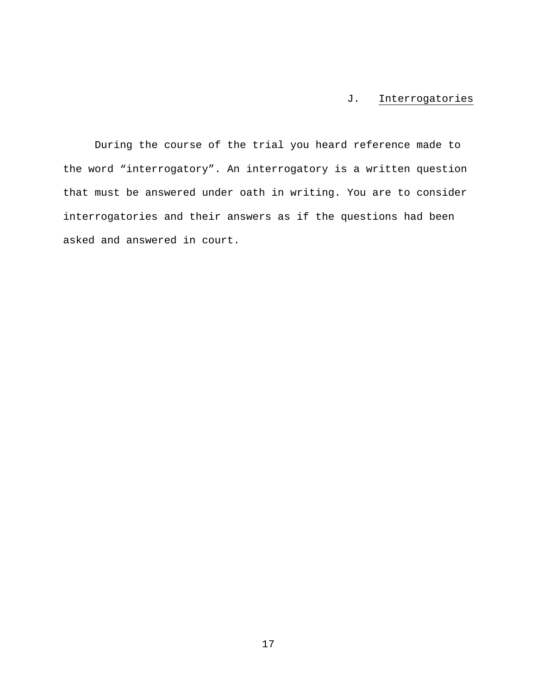# J. Interrogatories

 During the course of the trial you heard reference made to the word "interrogatory". An interrogatory is a written question that must be answered under oath in writing. You are to consider interrogatories and their answers as if the questions had been asked and answered in court.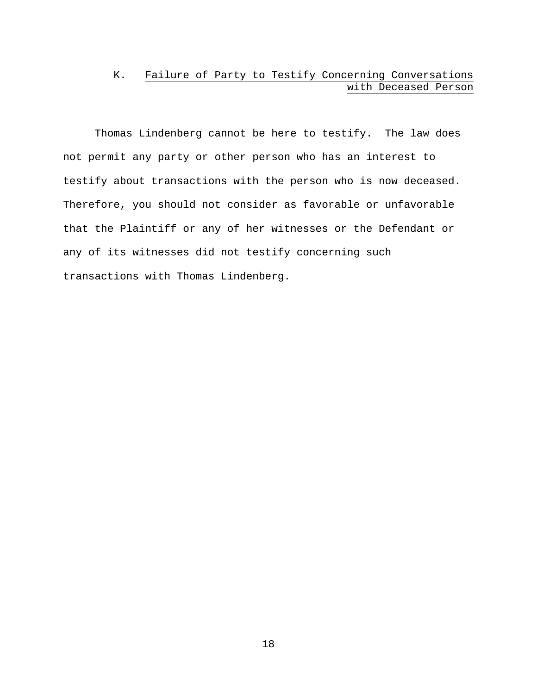# K. Failure of Party to Testify Concerning Conversations with Deceased Person

Thomas Lindenberg cannot be here to testify. The law does not permit any party or other person who has an interest to testify about transactions with the person who is now deceased. Therefore, you should not consider as favorable or unfavorable that the Plaintiff or any of her witnesses or the Defendant or any of its witnesses did not testify concerning such transactions with Thomas Lindenberg.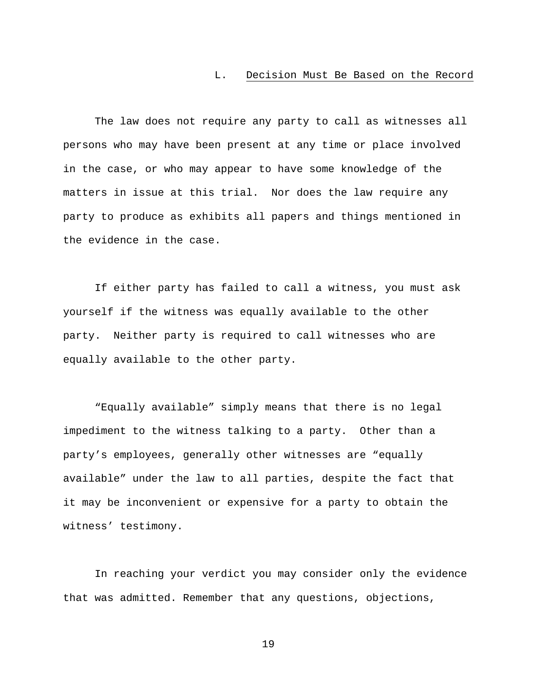### L. Decision Must Be Based on the Record

 The law does not require any party to call as witnesses all persons who may have been present at any time or place involved in the case, or who may appear to have some knowledge of the matters in issue at this trial. Nor does the law require any party to produce as exhibits all papers and things mentioned in the evidence in the case.

 If either party has failed to call a witness, you must ask yourself if the witness was equally available to the other party. Neither party is required to call witnesses who are equally available to the other party.

 "Equally available" simply means that there is no legal impediment to the witness talking to a party. Other than a party's employees, generally other witnesses are "equally available" under the law to all parties, despite the fact that it may be inconvenient or expensive for a party to obtain the witness' testimony.

In reaching your verdict you may consider only the evidence that was admitted. Remember that any questions, objections,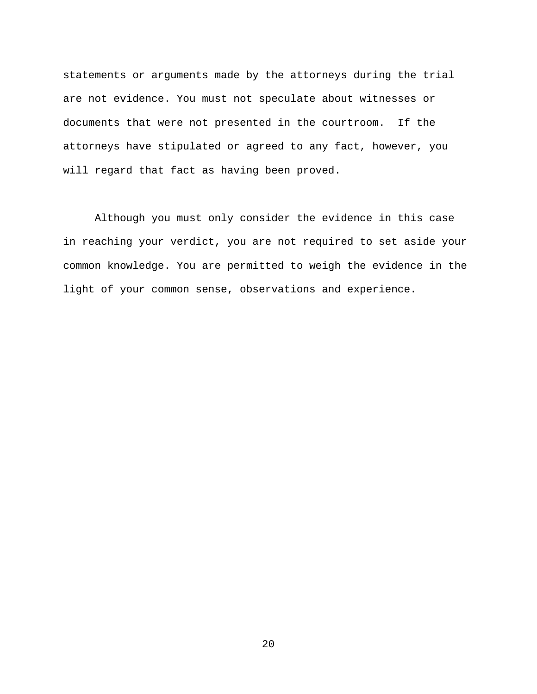statements or arguments made by the attorneys during the trial are not evidence. You must not speculate about witnesses or documents that were not presented in the courtroom. If the attorneys have stipulated or agreed to any fact, however, you will regard that fact as having been proved.

Although you must only consider the evidence in this case in reaching your verdict, you are not required to set aside your common knowledge. You are permitted to weigh the evidence in the light of your common sense, observations and experience.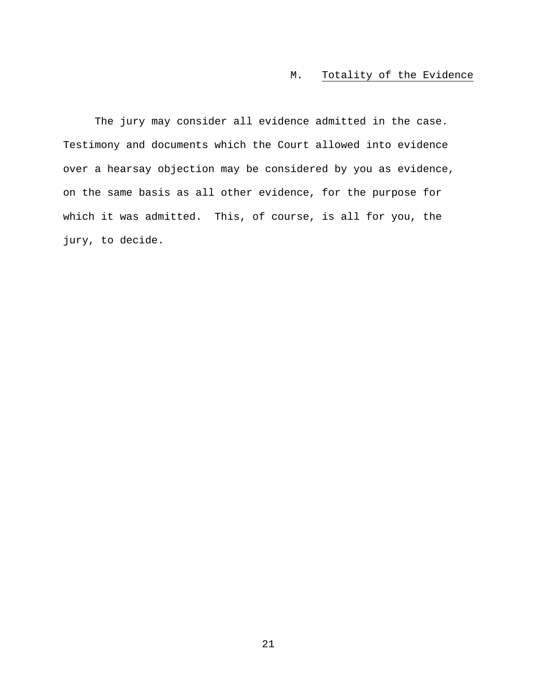## M. Totality of the Evidence

 The jury may consider all evidence admitted in the case. Testimony and documents which the Court allowed into evidence over a hearsay objection may be considered by you as evidence, on the same basis as all other evidence, for the purpose for which it was admitted. This, of course, is all for you, the jury, to decide.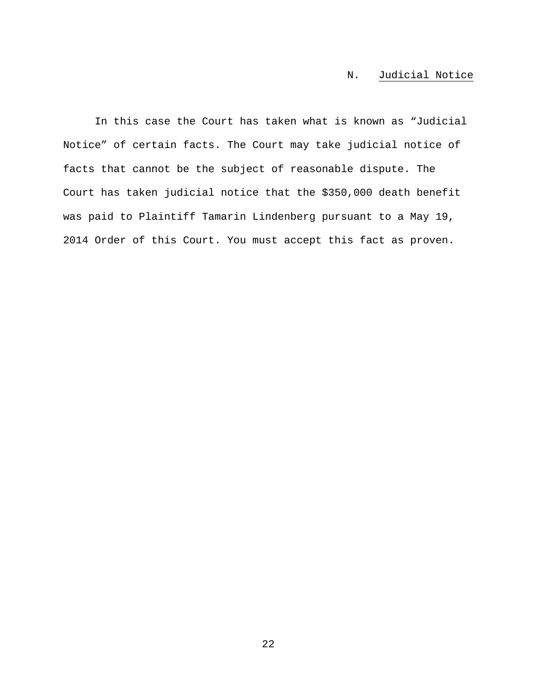# N. Judicial Notice

In this case the Court has taken what is known as "Judicial Notice" of certain facts. The Court may take judicial notice of facts that cannot be the subject of reasonable dispute. The Court has taken judicial notice that the \$350,000 death benefit was paid to Plaintiff Tamarin Lindenberg pursuant to a May 19, 2014 Order of this Court. You must accept this fact as proven.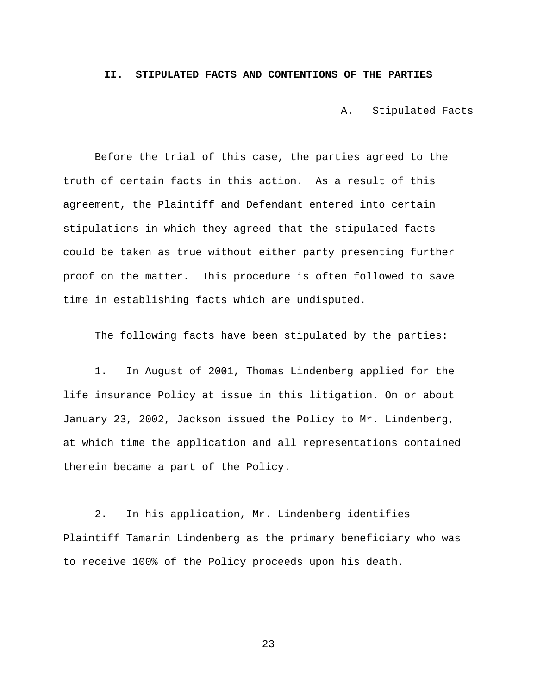#### **II. STIPULATED FACTS AND CONTENTIONS OF THE PARTIES**

A. Stipulated Facts

Before the trial of this case, the parties agreed to the truth of certain facts in this action. As a result of this agreement, the Plaintiff and Defendant entered into certain stipulations in which they agreed that the stipulated facts could be taken as true without either party presenting further proof on the matter. This procedure is often followed to save time in establishing facts which are undisputed.

The following facts have been stipulated by the parties:

1. In August of 2001, Thomas Lindenberg applied for the life insurance Policy at issue in this litigation. On or about January 23, 2002, Jackson issued the Policy to Mr. Lindenberg, at which time the application and all representations contained therein became a part of the Policy.

2. In his application, Mr. Lindenberg identifies Plaintiff Tamarin Lindenberg as the primary beneficiary who was to receive 100% of the Policy proceeds upon his death.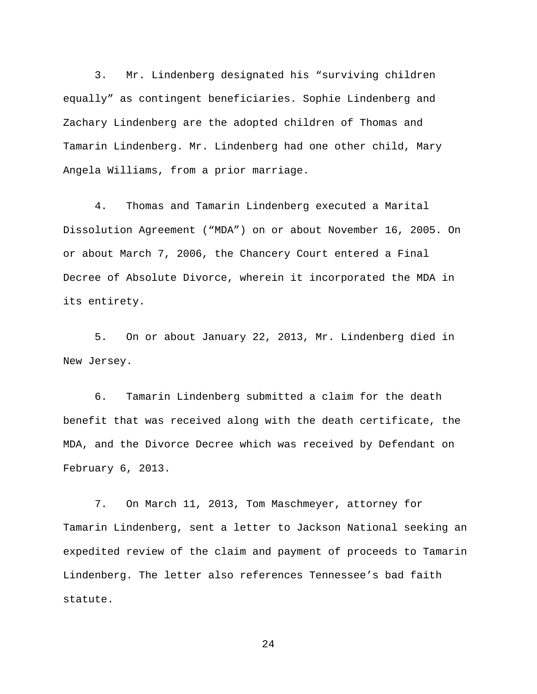3. Mr. Lindenberg designated his "surviving children equally" as contingent beneficiaries. Sophie Lindenberg and Zachary Lindenberg are the adopted children of Thomas and Tamarin Lindenberg. Mr. Lindenberg had one other child, Mary Angela Williams, from a prior marriage.

4. Thomas and Tamarin Lindenberg executed a Marital Dissolution Agreement ("MDA") on or about November 16, 2005. On or about March 7, 2006, the Chancery Court entered a Final Decree of Absolute Divorce, wherein it incorporated the MDA in its entirety.

5. On or about January 22, 2013, Mr. Lindenberg died in New Jersey.

6. Tamarin Lindenberg submitted a claim for the death benefit that was received along with the death certificate, the MDA, and the Divorce Decree which was received by Defendant on February 6, 2013.

7. On March 11, 2013, Tom Maschmeyer, attorney for Tamarin Lindenberg, sent a letter to Jackson National seeking an expedited review of the claim and payment of proceeds to Tamarin Lindenberg. The letter also references Tennessee's bad faith statute.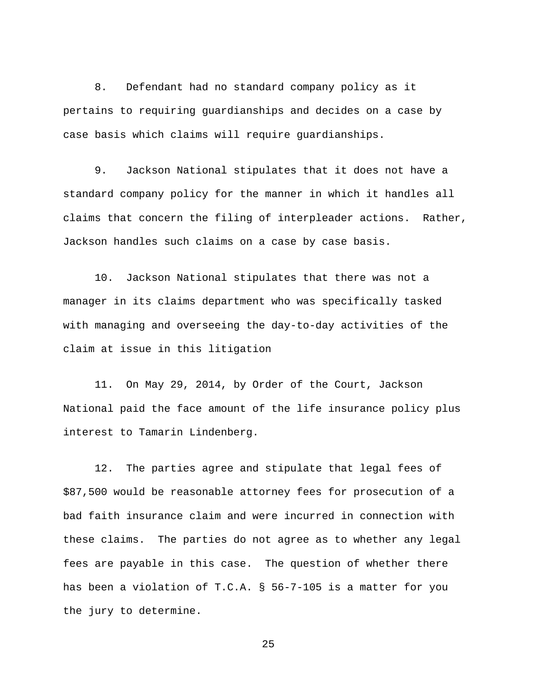8. Defendant had no standard company policy as it pertains to requiring guardianships and decides on a case by case basis which claims will require guardianships.

9. Jackson National stipulates that it does not have a standard company policy for the manner in which it handles all claims that concern the filing of interpleader actions. Rather, Jackson handles such claims on a case by case basis.

10. Jackson National stipulates that there was not a manager in its claims department who was specifically tasked with managing and overseeing the day-to-day activities of the claim at issue in this litigation

11. On May 29, 2014, by Order of the Court, Jackson National paid the face amount of the life insurance policy plus interest to Tamarin Lindenberg.

12. The parties agree and stipulate that legal fees of \$87,500 would be reasonable attorney fees for prosecution of a bad faith insurance claim and were incurred in connection with these claims. The parties do not agree as to whether any legal fees are payable in this case. The question of whether there has been a violation of T.C.A. § 56-7-105 is a matter for you the jury to determine.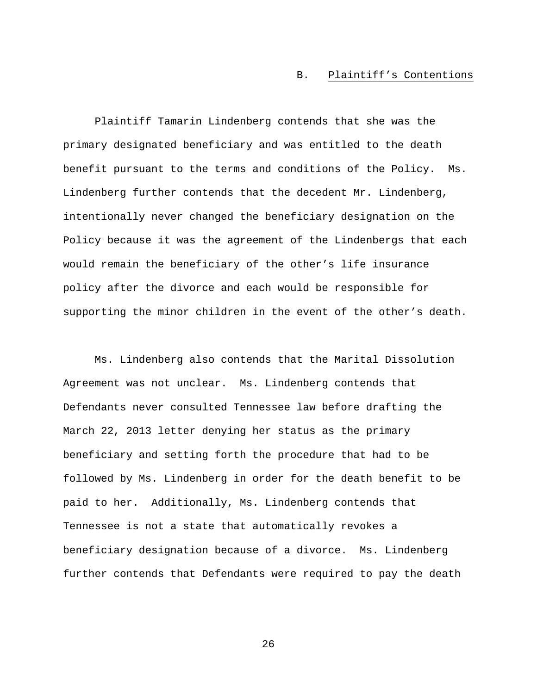### B. Plaintiff's Contentions

Plaintiff Tamarin Lindenberg contends that she was the primary designated beneficiary and was entitled to the death benefit pursuant to the terms and conditions of the Policy. Ms. Lindenberg further contends that the decedent Mr. Lindenberg, intentionally never changed the beneficiary designation on the Policy because it was the agreement of the Lindenbergs that each would remain the beneficiary of the other's life insurance policy after the divorce and each would be responsible for supporting the minor children in the event of the other's death.

Ms. Lindenberg also contends that the Marital Dissolution Agreement was not unclear. Ms. Lindenberg contends that Defendants never consulted Tennessee law before drafting the March 22, 2013 letter denying her status as the primary beneficiary and setting forth the procedure that had to be followed by Ms. Lindenberg in order for the death benefit to be paid to her. Additionally, Ms. Lindenberg contends that Tennessee is not a state that automatically revokes a beneficiary designation because of a divorce. Ms. Lindenberg further contends that Defendants were required to pay the death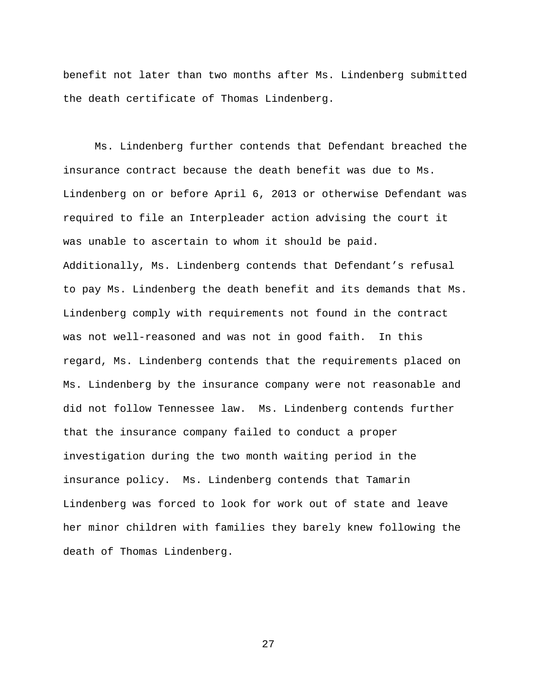benefit not later than two months after Ms. Lindenberg submitted the death certificate of Thomas Lindenberg.

Ms. Lindenberg further contends that Defendant breached the insurance contract because the death benefit was due to Ms. Lindenberg on or before April 6, 2013 or otherwise Defendant was required to file an Interpleader action advising the court it was unable to ascertain to whom it should be paid. Additionally, Ms. Lindenberg contends that Defendant's refusal to pay Ms. Lindenberg the death benefit and its demands that Ms. Lindenberg comply with requirements not found in the contract was not well-reasoned and was not in good faith. In this regard, Ms. Lindenberg contends that the requirements placed on Ms. Lindenberg by the insurance company were not reasonable and did not follow Tennessee law. Ms. Lindenberg contends further that the insurance company failed to conduct a proper investigation during the two month waiting period in the insurance policy. Ms. Lindenberg contends that Tamarin Lindenberg was forced to look for work out of state and leave her minor children with families they barely knew following the death of Thomas Lindenberg.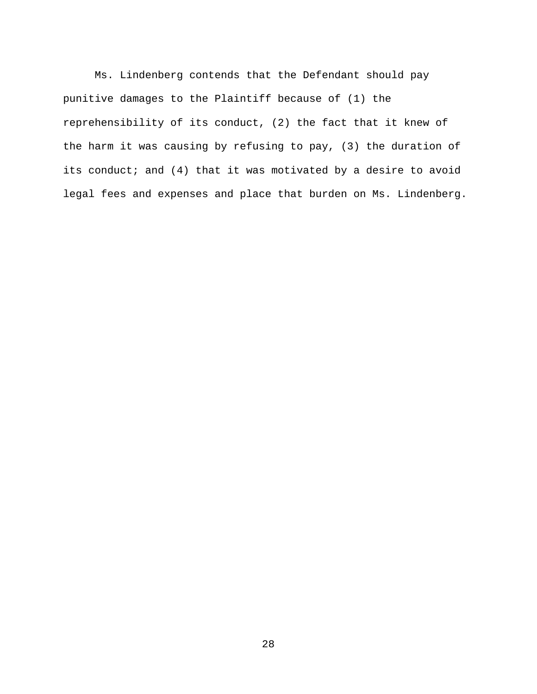Ms. Lindenberg contends that the Defendant should pay punitive damages to the Plaintiff because of (1) the reprehensibility of its conduct, (2) the fact that it knew of the harm it was causing by refusing to pay, (3) the duration of its conduct; and (4) that it was motivated by a desire to avoid legal fees and expenses and place that burden on Ms. Lindenberg.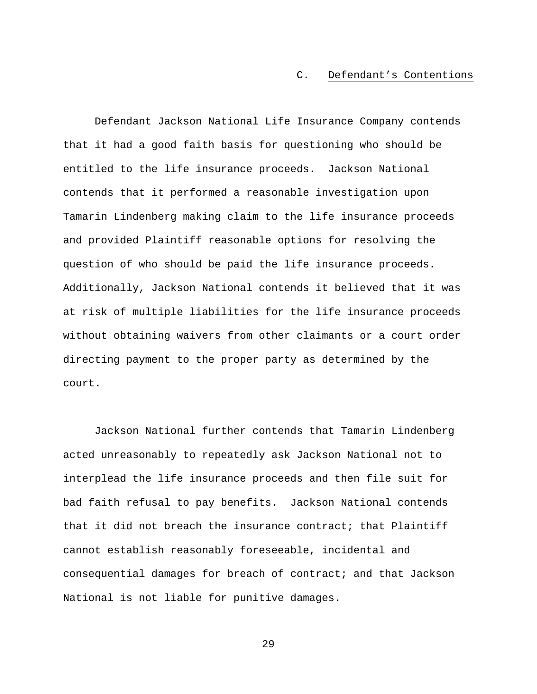### C. Defendant's Contentions

Defendant Jackson National Life Insurance Company contends that it had a good faith basis for questioning who should be entitled to the life insurance proceeds. Jackson National contends that it performed a reasonable investigation upon Tamarin Lindenberg making claim to the life insurance proceeds and provided Plaintiff reasonable options for resolving the question of who should be paid the life insurance proceeds. Additionally, Jackson National contends it believed that it was at risk of multiple liabilities for the life insurance proceeds without obtaining waivers from other claimants or a court order directing payment to the proper party as determined by the court.

Jackson National further contends that Tamarin Lindenberg acted unreasonably to repeatedly ask Jackson National not to interplead the life insurance proceeds and then file suit for bad faith refusal to pay benefits. Jackson National contends that it did not breach the insurance contract; that Plaintiff cannot establish reasonably foreseeable, incidental and consequential damages for breach of contract; and that Jackson National is not liable for punitive damages.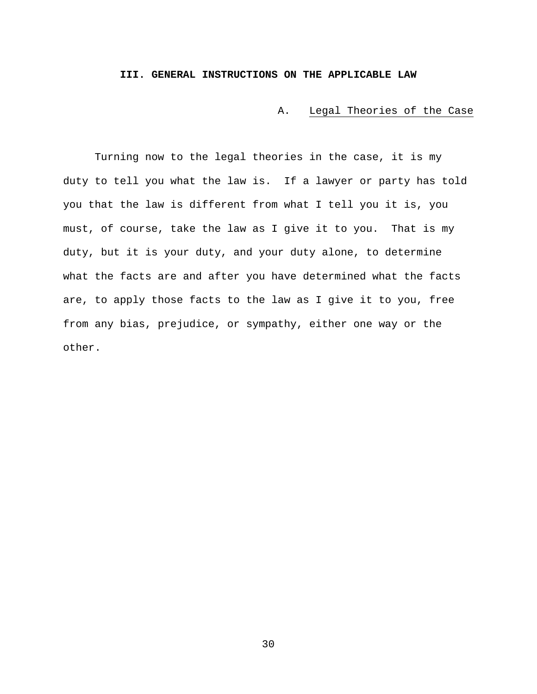## **III. GENERAL INSTRUCTIONS ON THE APPLICABLE LAW**

A. Legal Theories of the Case

Turning now to the legal theories in the case, it is my duty to tell you what the law is. If a lawyer or party has told you that the law is different from what I tell you it is, you must, of course, take the law as I give it to you. That is my duty, but it is your duty, and your duty alone, to determine what the facts are and after you have determined what the facts are, to apply those facts to the law as I give it to you, free from any bias, prejudice, or sympathy, either one way or the other.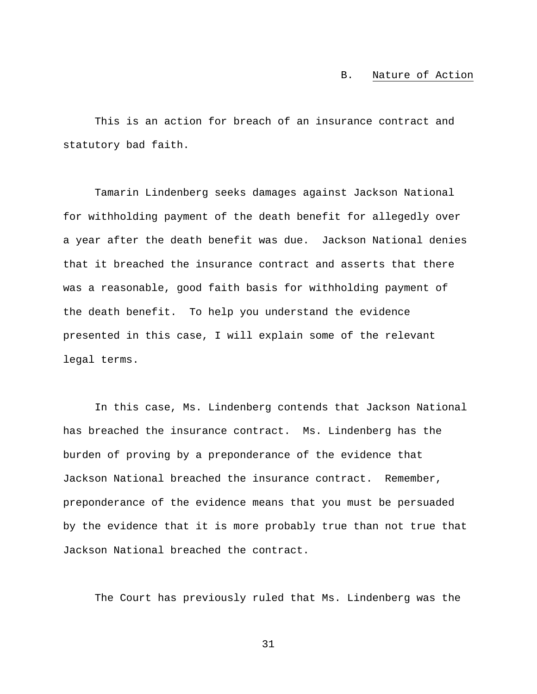#### B. Nature of Action

This is an action for breach of an insurance contract and statutory bad faith.

Tamarin Lindenberg seeks damages against Jackson National for withholding payment of the death benefit for allegedly over a year after the death benefit was due. Jackson National denies that it breached the insurance contract and asserts that there was a reasonable, good faith basis for withholding payment of the death benefit. To help you understand the evidence presented in this case, I will explain some of the relevant legal terms.

In this case, Ms. Lindenberg contends that Jackson National has breached the insurance contract. Ms. Lindenberg has the burden of proving by a preponderance of the evidence that Jackson National breached the insurance contract. Remember, preponderance of the evidence means that you must be persuaded by the evidence that it is more probably true than not true that Jackson National breached the contract.

The Court has previously ruled that Ms. Lindenberg was the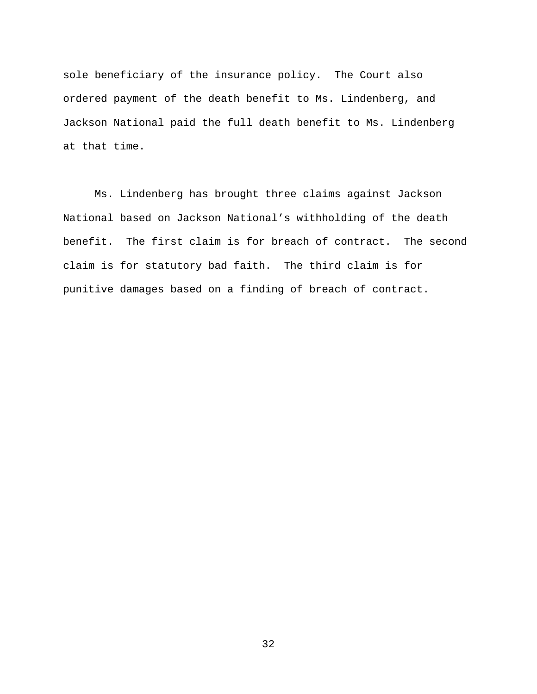sole beneficiary of the insurance policy. The Court also ordered payment of the death benefit to Ms. Lindenberg, and Jackson National paid the full death benefit to Ms. Lindenberg at that time.

Ms. Lindenberg has brought three claims against Jackson National based on Jackson National's withholding of the death benefit. The first claim is for breach of contract. The second claim is for statutory bad faith. The third claim is for punitive damages based on a finding of breach of contract.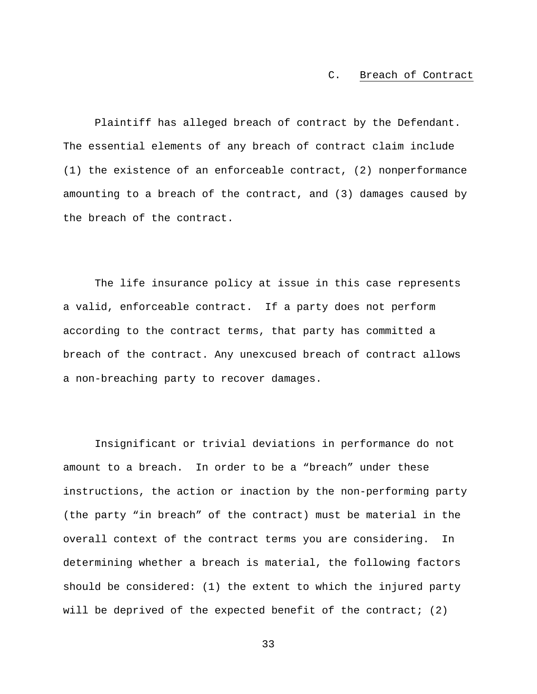### C. Breach of Contract

Plaintiff has alleged breach of contract by the Defendant. The essential elements of any breach of contract claim include (1) the existence of an enforceable contract, (2) nonperformance amounting to a breach of the contract, and (3) damages caused by the breach of the contract.

The life insurance policy at issue in this case represents a valid, enforceable contract. If a party does not perform according to the contract terms, that party has committed a breach of the contract. Any unexcused breach of contract allows a non-breaching party to recover damages.

Insignificant or trivial deviations in performance do not amount to a breach. In order to be a "breach" under these instructions, the action or inaction by the non-performing party (the party "in breach" of the contract) must be material in the overall context of the contract terms you are considering. In determining whether a breach is material, the following factors should be considered: (1) the extent to which the injured party will be deprived of the expected benefit of the contract; (2)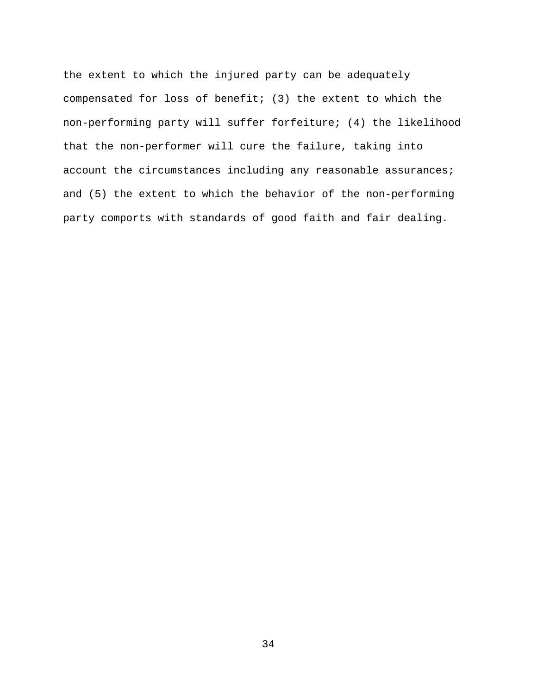the extent to which the injured party can be adequately compensated for loss of benefit; (3) the extent to which the non-performing party will suffer forfeiture; (4) the likelihood that the non-performer will cure the failure, taking into account the circumstances including any reasonable assurances; and (5) the extent to which the behavior of the non-performing party comports with standards of good faith and fair dealing.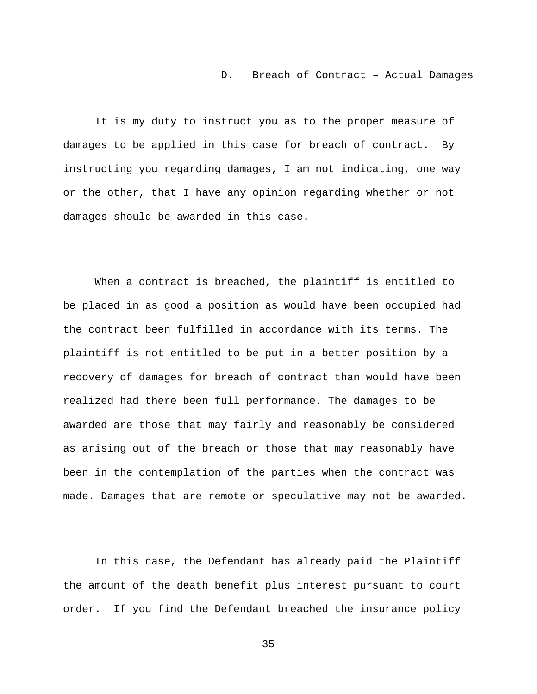### D. Breach of Contract – Actual Damages

It is my duty to instruct you as to the proper measure of damages to be applied in this case for breach of contract. By instructing you regarding damages, I am not indicating, one way or the other, that I have any opinion regarding whether or not damages should be awarded in this case.

When a contract is breached, the plaintiff is entitled to be placed in as good a position as would have been occupied had the contract been fulfilled in accordance with its terms. The plaintiff is not entitled to be put in a better position by a recovery of damages for breach of contract than would have been realized had there been full performance. The damages to be awarded are those that may fairly and reasonably be considered as arising out of the breach or those that may reasonably have been in the contemplation of the parties when the contract was made. Damages that are remote or speculative may not be awarded.

In this case, the Defendant has already paid the Plaintiff the amount of the death benefit plus interest pursuant to court order. If you find the Defendant breached the insurance policy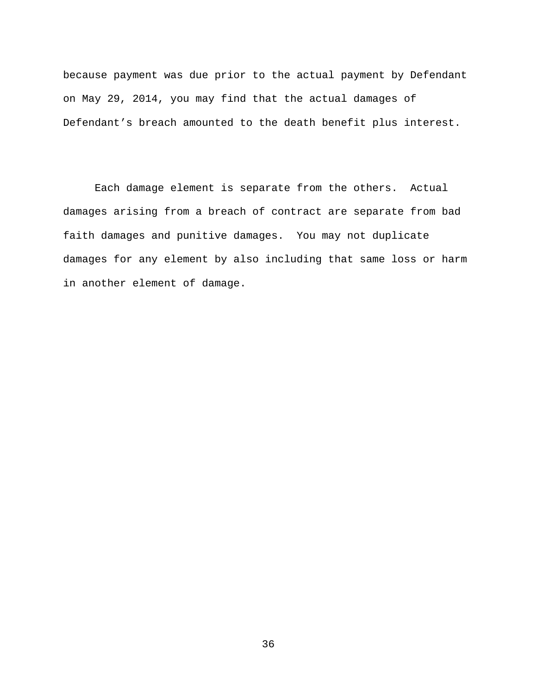because payment was due prior to the actual payment by Defendant on May 29, 2014, you may find that the actual damages of Defendant's breach amounted to the death benefit plus interest.

Each damage element is separate from the others. Actual damages arising from a breach of contract are separate from bad faith damages and punitive damages. You may not duplicate damages for any element by also including that same loss or harm in another element of damage.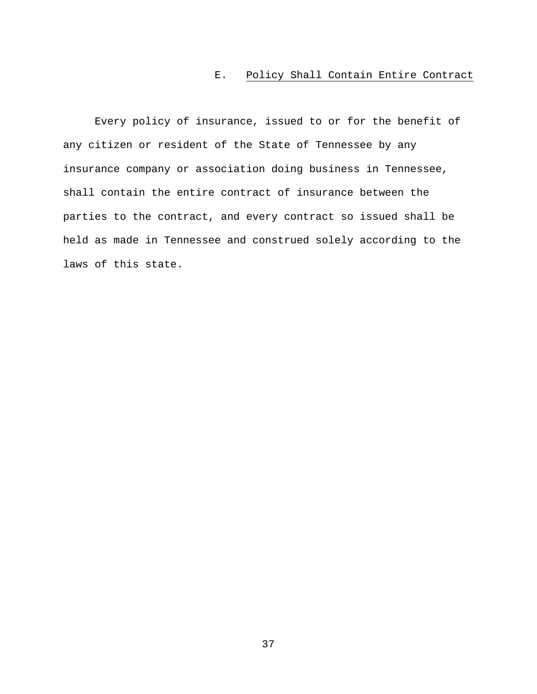## E. Policy Shall Contain Entire Contract

Every policy of insurance, issued to or for the benefit of any citizen or resident of the State of Tennessee by any insurance company or association doing business in Tennessee, shall contain the entire contract of insurance between the parties to the contract, and every contract so issued shall be held as made in Tennessee and construed solely according to the laws of this state.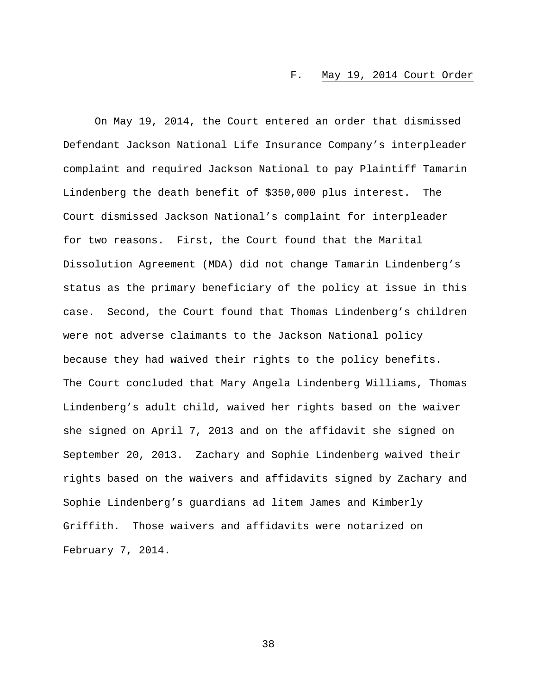### F. May 19, 2014 Court Order

On May 19, 2014, the Court entered an order that dismissed Defendant Jackson National Life Insurance Company's interpleader complaint and required Jackson National to pay Plaintiff Tamarin Lindenberg the death benefit of \$350,000 plus interest. The Court dismissed Jackson National's complaint for interpleader for two reasons. First, the Court found that the Marital Dissolution Agreement (MDA) did not change Tamarin Lindenberg's status as the primary beneficiary of the policy at issue in this case. Second, the Court found that Thomas Lindenberg's children were not adverse claimants to the Jackson National policy because they had waived their rights to the policy benefits. The Court concluded that Mary Angela Lindenberg Williams, Thomas Lindenberg's adult child, waived her rights based on the waiver she signed on April 7, 2013 and on the affidavit she signed on September 20, 2013. Zachary and Sophie Lindenberg waived their rights based on the waivers and affidavits signed by Zachary and Sophie Lindenberg's guardians ad litem James and Kimberly Griffith. Those waivers and affidavits were notarized on February 7, 2014.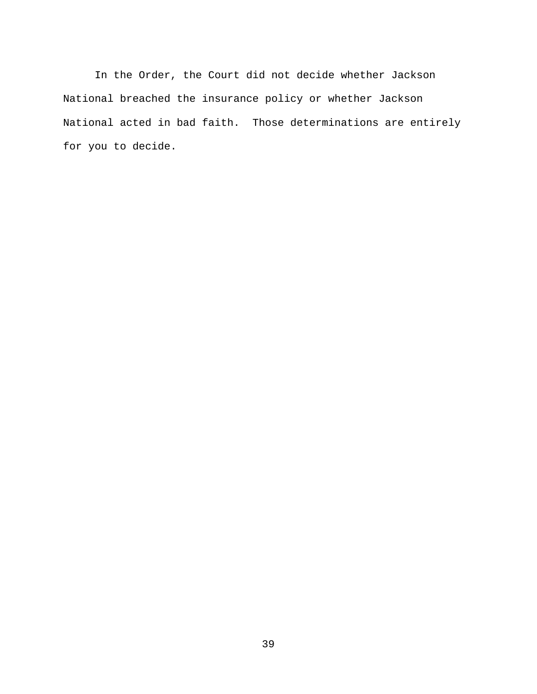In the Order, the Court did not decide whether Jackson National breached the insurance policy or whether Jackson National acted in bad faith. Those determinations are entirely for you to decide.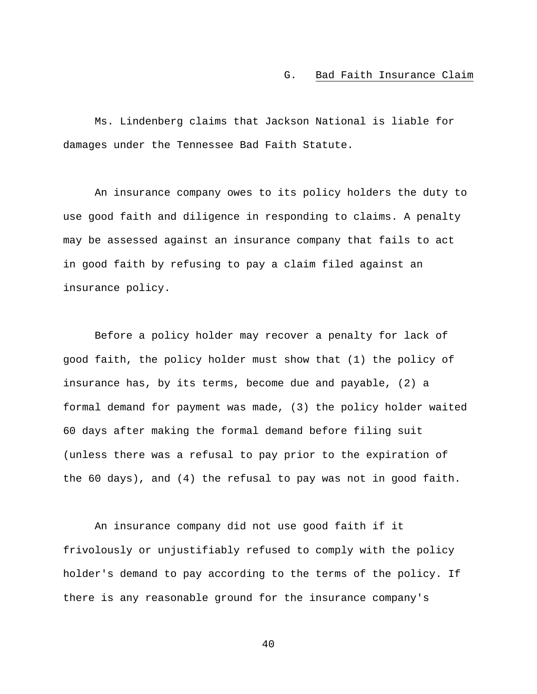#### G. Bad Faith Insurance Claim

Ms. Lindenberg claims that Jackson National is liable for damages under the Tennessee Bad Faith Statute.

An insurance company owes to its policy holders the duty to use good faith and diligence in responding to claims. A penalty may be assessed against an insurance company that fails to act in good faith by refusing to pay a claim filed against an insurance policy.

Before a policy holder may recover a penalty for lack of good faith, the policy holder must show that (1) the policy of insurance has, by its terms, become due and payable, (2) a formal demand for payment was made, (3) the policy holder waited 60 days after making the formal demand before filing suit (unless there was a refusal to pay prior to the expiration of the 60 days), and (4) the refusal to pay was not in good faith.

An insurance company did not use good faith if it frivolously or unjustifiably refused to comply with the policy holder's demand to pay according to the terms of the policy. If there is any reasonable ground for the insurance company's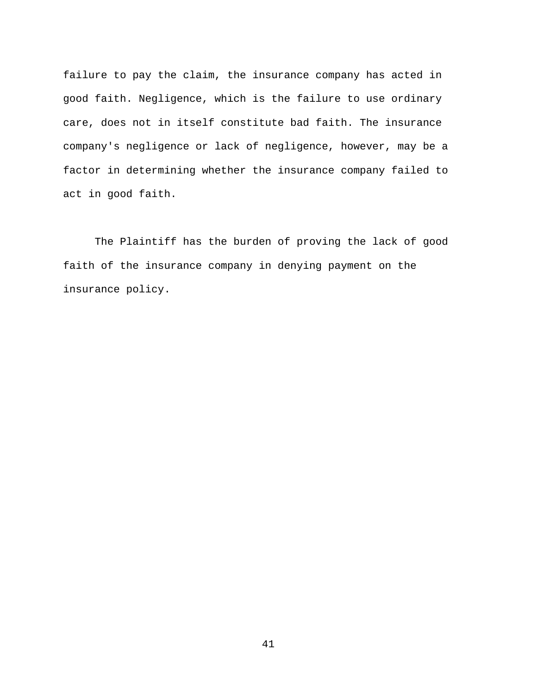failure to pay the claim, the insurance company has acted in good faith. Negligence, which is the failure to use ordinary care, does not in itself constitute bad faith. The insurance company's negligence or lack of negligence, however, may be a factor in determining whether the insurance company failed to act in good faith.

The Plaintiff has the burden of proving the lack of good faith of the insurance company in denying payment on the insurance policy.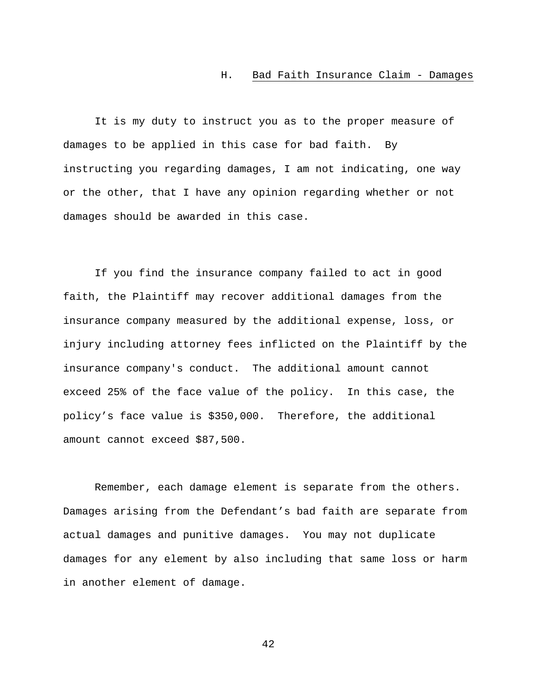#### H. Bad Faith Insurance Claim - Damages

It is my duty to instruct you as to the proper measure of damages to be applied in this case for bad faith. By instructing you regarding damages, I am not indicating, one way or the other, that I have any opinion regarding whether or not damages should be awarded in this case.

If you find the insurance company failed to act in good faith, the Plaintiff may recover additional damages from the insurance company measured by the additional expense, loss, or injury including attorney fees inflicted on the Plaintiff by the insurance company's conduct. The additional amount cannot exceed 25% of the face value of the policy. In this case, the policy's face value is \$350,000. Therefore, the additional amount cannot exceed \$87,500.

Remember, each damage element is separate from the others. Damages arising from the Defendant's bad faith are separate from actual damages and punitive damages. You may not duplicate damages for any element by also including that same loss or harm in another element of damage.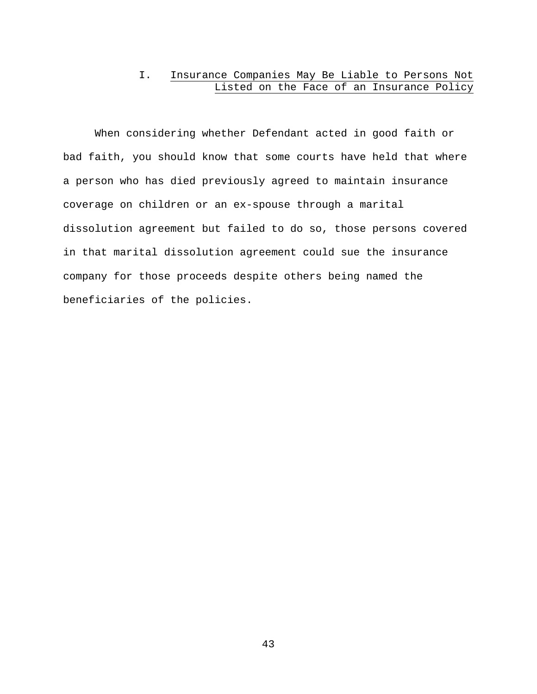# I. Insurance Companies May Be Liable to Persons Not Listed on the Face of an Insurance Policy

When considering whether Defendant acted in good faith or bad faith, you should know that some courts have held that where a person who has died previously agreed to maintain insurance coverage on children or an ex-spouse through a marital dissolution agreement but failed to do so, those persons covered in that marital dissolution agreement could sue the insurance company for those proceeds despite others being named the beneficiaries of the policies.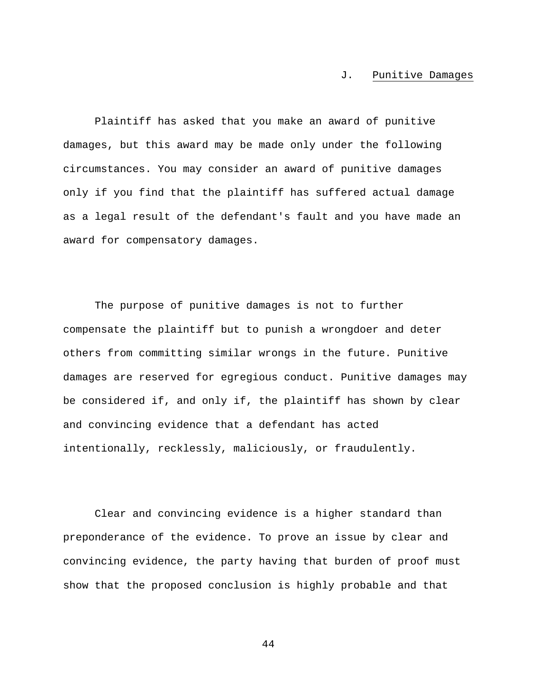#### J. Punitive Damages

Plaintiff has asked that you make an award of punitive damages, but this award may be made only under the following circumstances. You may consider an award of punitive damages only if you find that the plaintiff has suffered actual damage as a legal result of the defendant's fault and you have made an award for compensatory damages.

The purpose of punitive damages is not to further compensate the plaintiff but to punish a wrongdoer and deter others from committing similar wrongs in the future. Punitive damages are reserved for egregious conduct. Punitive damages may be considered if, and only if, the plaintiff has shown by clear and convincing evidence that a defendant has acted intentionally, recklessly, maliciously, or fraudulently.

Clear and convincing evidence is a higher standard than preponderance of the evidence. To prove an issue by clear and convincing evidence, the party having that burden of proof must show that the proposed conclusion is highly probable and that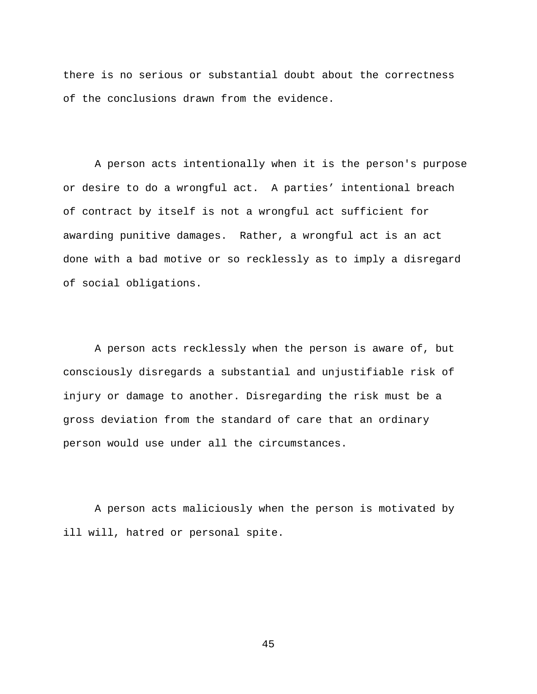there is no serious or substantial doubt about the correctness of the conclusions drawn from the evidence.

A person acts intentionally when it is the person's purpose or desire to do a wrongful act. A parties' intentional breach of contract by itself is not a wrongful act sufficient for awarding punitive damages. Rather, a wrongful act is an act done with a bad motive or so recklessly as to imply a disregard of social obligations.

A person acts recklessly when the person is aware of, but consciously disregards a substantial and unjustifiable risk of injury or damage to another. Disregarding the risk must be a gross deviation from the standard of care that an ordinary person would use under all the circumstances.

A person acts maliciously when the person is motivated by ill will, hatred or personal spite.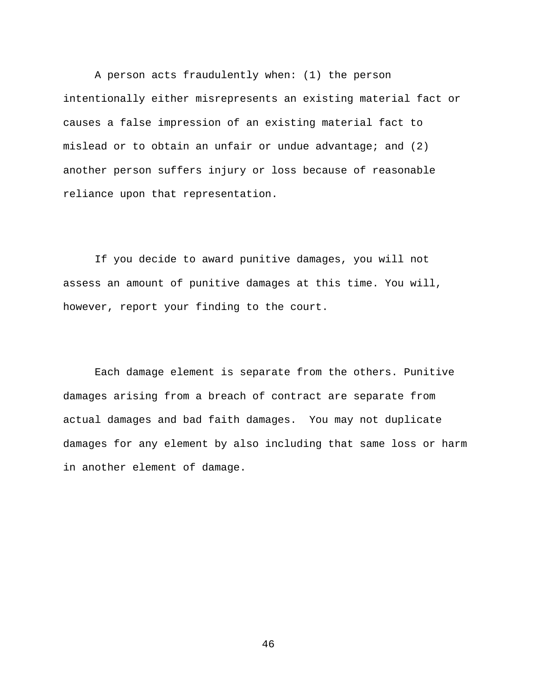A person acts fraudulently when: (1) the person intentionally either misrepresents an existing material fact or causes a false impression of an existing material fact to mislead or to obtain an unfair or undue advantage; and (2) another person suffers injury or loss because of reasonable reliance upon that representation.

If you decide to award punitive damages, you will not assess an amount of punitive damages at this time. You will, however, report your finding to the court.

Each damage element is separate from the others. Punitive damages arising from a breach of contract are separate from actual damages and bad faith damages. You may not duplicate damages for any element by also including that same loss or harm in another element of damage.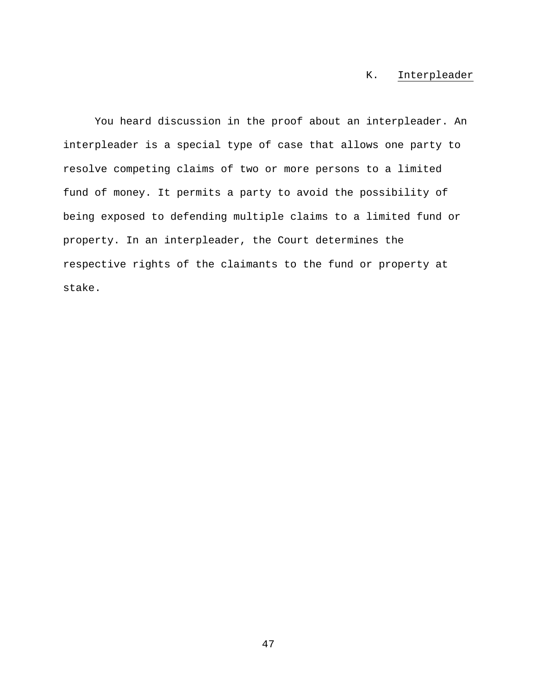# K. Interpleader

You heard discussion in the proof about an interpleader. An interpleader is a special type of case that allows one party to resolve competing claims of two or more persons to a limited fund of money. It permits a party to avoid the possibility of being exposed to defending multiple claims to a limited fund or property. In an interpleader, the Court determines the respective rights of the claimants to the fund or property at stake.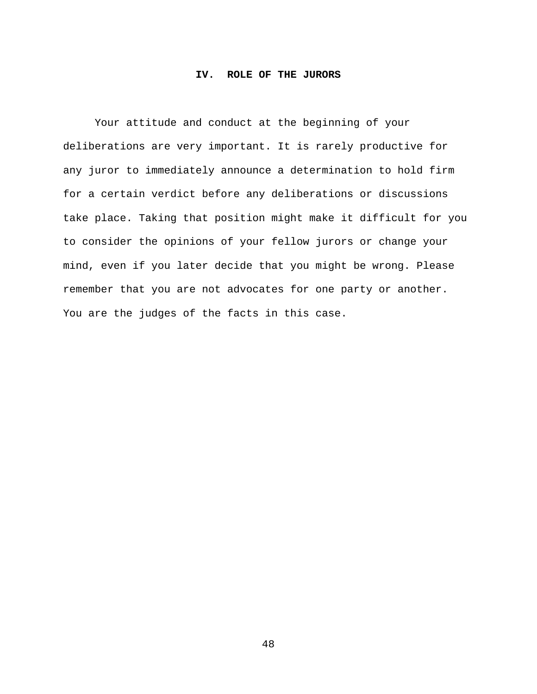### **IV. ROLE OF THE JURORS**

Your attitude and conduct at the beginning of your deliberations are very important. It is rarely productive for any juror to immediately announce a determination to hold firm for a certain verdict before any deliberations or discussions take place. Taking that position might make it difficult for you to consider the opinions of your fellow jurors or change your mind, even if you later decide that you might be wrong. Please remember that you are not advocates for one party or another. You are the judges of the facts in this case.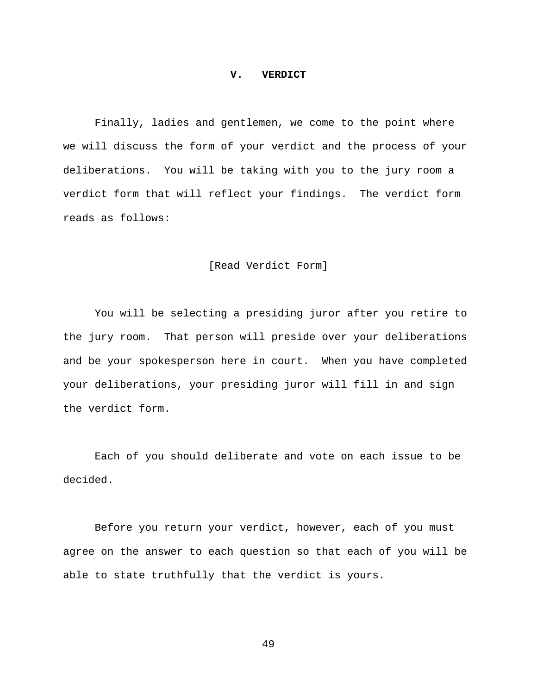#### **V. VERDICT**

 Finally, ladies and gentlemen, we come to the point where we will discuss the form of your verdict and the process of your deliberations. You will be taking with you to the jury room a verdict form that will reflect your findings. The verdict form reads as follows:

## [Read Verdict Form]

 You will be selecting a presiding juror after you retire to the jury room. That person will preside over your deliberations and be your spokesperson here in court. When you have completed your deliberations, your presiding juror will fill in and sign the verdict form.

Each of you should deliberate and vote on each issue to be decided.

Before you return your verdict, however, each of you must agree on the answer to each question so that each of you will be able to state truthfully that the verdict is yours.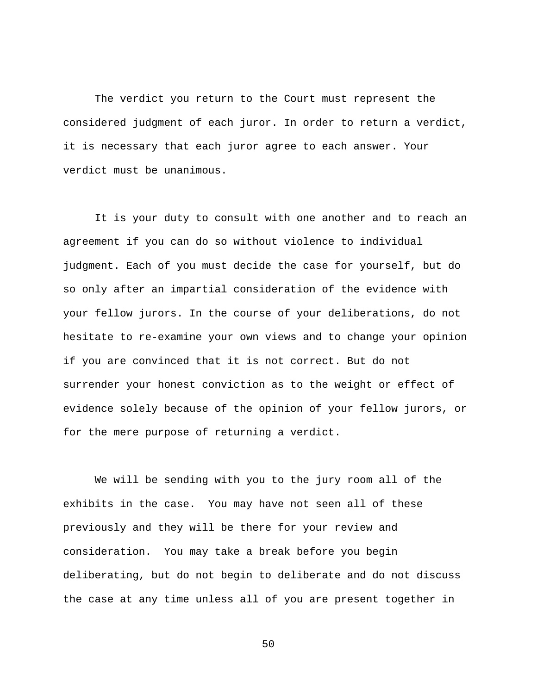The verdict you return to the Court must represent the considered judgment of each juror. In order to return a verdict, it is necessary that each juror agree to each answer. Your verdict must be unanimous.

It is your duty to consult with one another and to reach an agreement if you can do so without violence to individual judgment. Each of you must decide the case for yourself, but do so only after an impartial consideration of the evidence with your fellow jurors. In the course of your deliberations, do not hesitate to re-examine your own views and to change your opinion if you are convinced that it is not correct. But do not surrender your honest conviction as to the weight or effect of evidence solely because of the opinion of your fellow jurors, or for the mere purpose of returning a verdict.

 We will be sending with you to the jury room all of the exhibits in the case. You may have not seen all of these previously and they will be there for your review and consideration. You may take a break before you begin deliberating, but do not begin to deliberate and do not discuss the case at any time unless all of you are present together in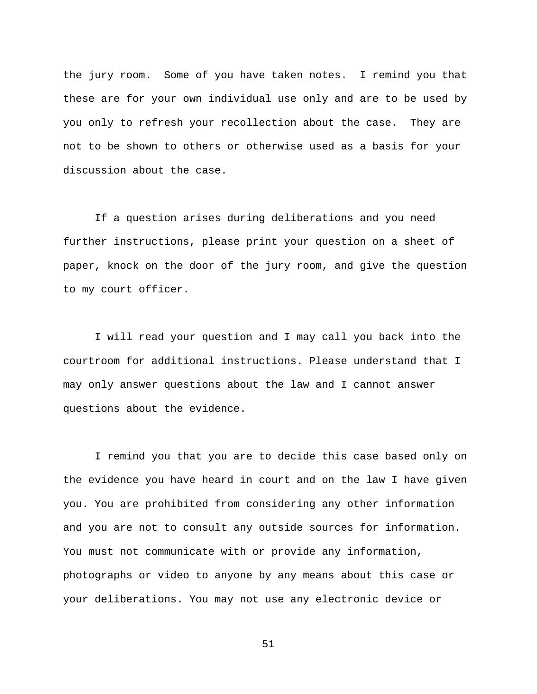the jury room. Some of you have taken notes. I remind you that these are for your own individual use only and are to be used by you only to refresh your recollection about the case. They are not to be shown to others or otherwise used as a basis for your discussion about the case.

If a question arises during deliberations and you need further instructions, please print your question on a sheet of paper, knock on the door of the jury room, and give the question to my court officer.

I will read your question and I may call you back into the courtroom for additional instructions. Please understand that I may only answer questions about the law and I cannot answer questions about the evidence.

I remind you that you are to decide this case based only on the evidence you have heard in court and on the law I have given you. You are prohibited from considering any other information and you are not to consult any outside sources for information. You must not communicate with or provide any information, photographs or video to anyone by any means about this case or your deliberations. You may not use any electronic device or